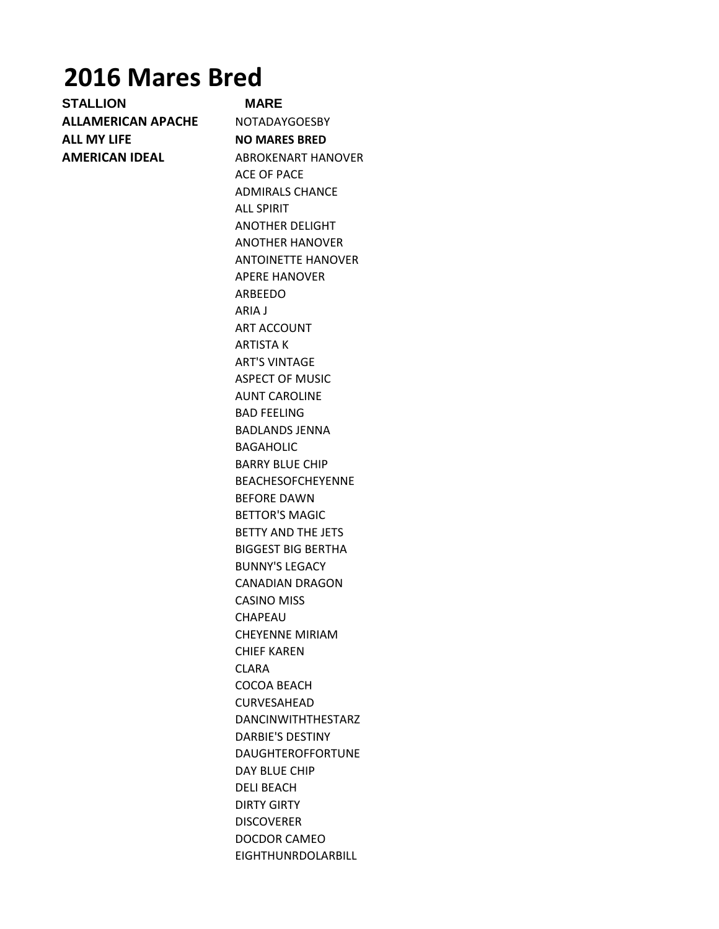# **2016 Mares Bred**

**STALLION MARE ALLAMERICAN APACHE** NOTADAYGOESBY **ALL MY LIFE NO MARES BRED AMERICAN IDEAL ABROKENART HANOVER** 

ACE OF PACE ADMIRALS CHANCE ALL SPIRIT ANOTHER DELIGHT ANOTHER HANOVER ANTOINETTE HANOVER APERE HANOVER ARBEEDO ARIA J ART ACCOUNT ARTISTA K ART'S VINTAGE ASPECT OF MUSIC AUNT CAROLINE BAD FEELING BADLANDS JENNA BAGAHOLIC BARRY BLUE CHIP BEACHESOFCHEYENNE BEFORE DAWN BETTOR'S MAGIC BETTY AND THE JETS BIGGEST BIG BERTHA BUNNY'S LEGACY CANADIAN DRAGON CASINO MISS CHAPEAU CHEYENNE MIRIAM CHIEF KAREN CLARA COCOA BEACH CURVESAHEAD DANCINWITHTHESTARZ DARBIE'S DESTINY DAUGHTEROFFORTUNE DAY BLUE CHIP DELI BEACH DIRTY GIRTY DISCOVERER DOCDOR CAMEO EIGHTHUNRDOLARBILL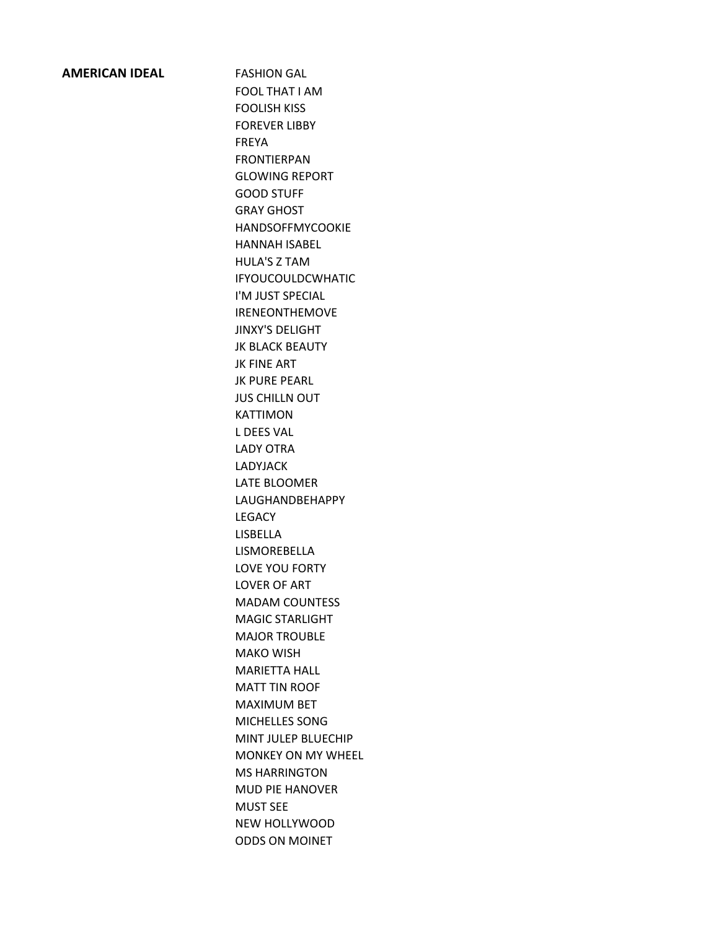### **AMERICAN IDEAL** FASHION GAL

FOOL THAT I AM FOOLISH KISS FOREVER LIBBY FREYA FRONTIERPAN GLOWING REPORT GOOD STUFF GRAY GHOST HANDSOFFMYCOOKIE HANNAH ISABEL HULA'S Z TAM IFYOUCOULDCWHATIC I'M JUST SPECIAL IRENEONTHEMOVE JINXY'S DELIGHT JK BLACK BEAUTY JK FINE ART JK PURE PEARL **JUS CHILLN OUT** KATTIMON L DEES VAL LADY OTRA LADYJACK LATE BLOOMER LAUGHANDBEHAPPY **LEGACY** LISBELLA LISMOREBELLA LOVE YOU FORTY LOVER OF ART MADAM COUNTESS MAGIC STARLIGHT MAJOR TROUBLE MAKO WISH MARIETTA HALL MATT TIN ROOF MAXIMUM BET MICHELLES SONG MINT JULEP BLUECHIP MONKEY ON MY WHEEL MS HARRINGTON MUD PIE HANOVER MUST SEE NEW HOLLYWOOD ODDS ON MOINET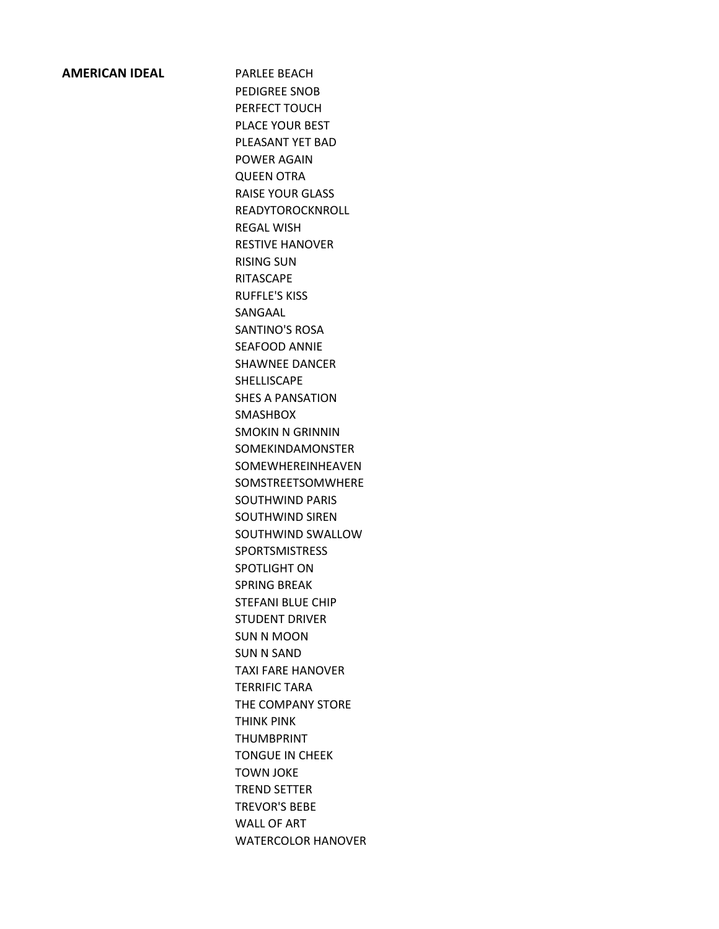#### **AMERICAN IDEAL** PARLEE BEACH

PEDIGREE SNOB PERFECT TOUCH PLACE YOUR BEST PLEASANT YET BAD POWER AGAIN QUEEN OTRA RAISE YOUR GLASS READYTOROCKNROLL REGAL WISH RESTIVE HANOVER RISING SUN RITASCAPE RUFFLE'S KISS SANGAAL SANTINO'S ROSA SEAFOOD ANNIE SHAWNEE DANCER SHELLISCAPE SHES A PANSATION SMASHBOX SMOKIN N GRINNIN SOMEKINDAMONSTER SOMEWHEREINHEAVEN SOMSTREETSOMWHERE SOUTHWIND PARIS SOUTHWIND SIREN SOUTHWIND SWALLOW **SPORTSMISTRESS** SPOTLIGHT ON SPRING BREAK STEFANI BLUE CHIP STUDENT DRIVER SUN N MOON SUN N SAND TAXI FARE HANOVER TERRIFIC TARA THE COMPANY STORE THINK PINK THUMBPRINT TONGUE IN CHEEK TOWN JOKE TREND SETTER TREVOR'S BEBE WALL OF ART WATERCOLOR HANOVER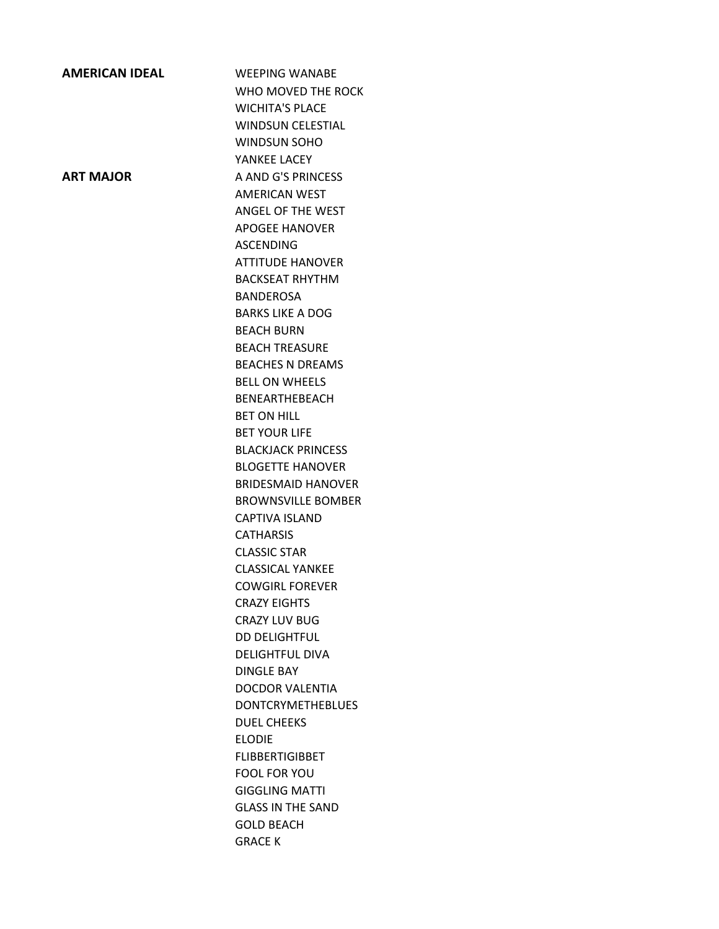# **AMERICAN IDEAL** WEEPING WANABE WHO MOVED THE ROCK WICHITA'S PLACE WINDSUN CELESTIAL WINDSUN SOHO YANKEE LACEY **ART MAJOR** A AND G'S PRINCESS AMERICAN WEST ANGEL OF THE WEST APOGEE HANOVER ASCENDING ATTITUDE HANOVER BACKSEAT RHYTHM BANDEROSA BARKS LIKE A DOG BEACH BURN BEACH TREASURE BEACHES N DREAMS BELL ON WHEELS BENEARTHEBEACH BET ON HILL BET YOUR LIFE BLACKJACK PRINCESS BLOGETTE HANOVER BRIDESMAID HANOVER BROWNSVILLE BOMBER CAPTIVA ISLAND CATHARSIS CLASSIC STAR CLASSICAL YANKEE COWGIRL FOREVER CRAZY EIGHTS CRAZY LUV BUG DD DELIGHTFUL DELIGHTFUL DIVA DINGLE BAY DOCDOR VALENTIA DONTCRYMETHEBLUES DUEL CHEEKS ELODIE FLIBBERTIGIBBET FOOL FOR YOU GIGGLING MATTI GLASS IN THE SAND GOLD BEACH GRACE K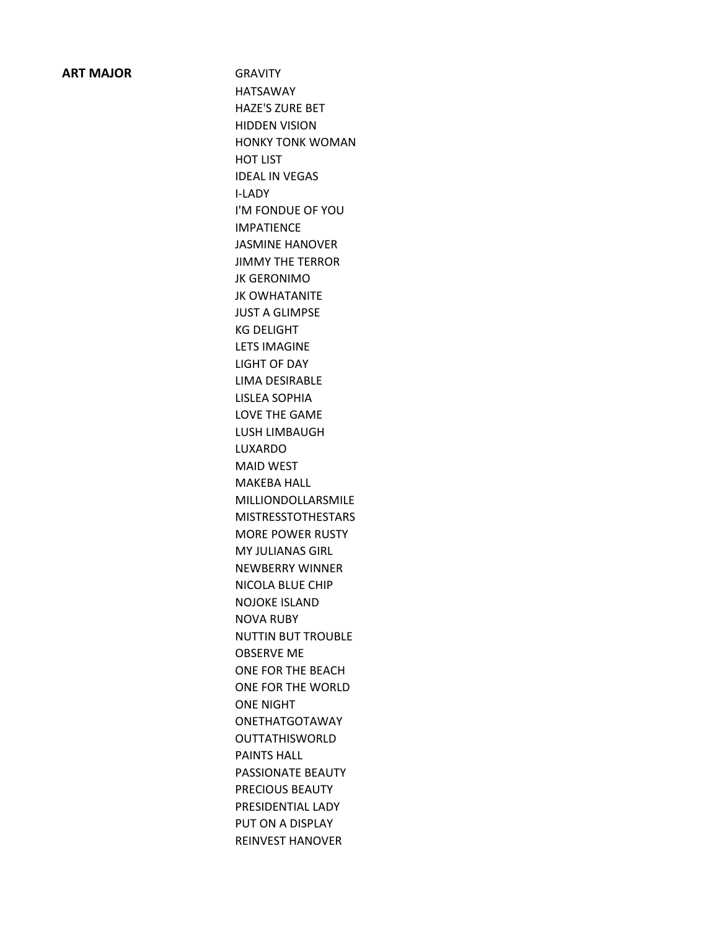#### **ART MAJOR** GRAVITY

HATSAWAY HAZE'S ZURE BET HIDDEN VISION HONKY TONK WOMAN HOT LIST IDEAL IN VEGAS I-LADY I'M FONDUE OF YOU IMPATIENCE JASMINE HANOVER JIMMY THE TERROR JK GERONIMO JK OWHATANITE JUST A GLIMPSE KG DELIGHT LETS IMAGINE LIGHT OF DAY LIMA DESIRABLE LISLEA SOPHIA LOVE THE GAME LUSH LIMBAUGH LUXARDO MAID WEST MAKEBA HALL MILLIONDOLLARSMILE MISTRESSTOTHESTARS MORE POWER RUSTY MY JULIANAS GIRL NEWBERRY WINNER NICOLA BLUE CHIP NOJOKE ISLAND NOVA RUBY NUTTIN BUT TROUBLE OBSERVE ME ONE FOR THE BEACH ONE FOR THE WORLD ONE NIGHT ONETHATGOTAWAY OUTTATHISWORLD PAINTS HALL PASSIONATE BEAUTY PRECIOUS BEAUTY PRESIDENTIAL LADY PUT ON A DISPLAY REINVEST HANOVER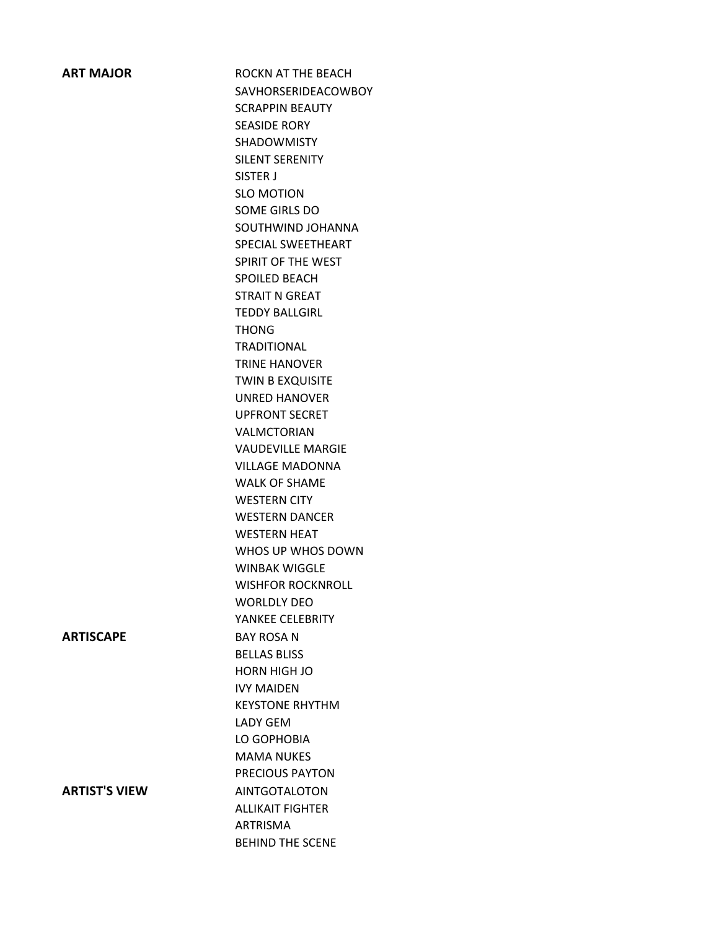**ART MAJOR BEACH ROCKN AT THE BEACH** SAVHORSERIDEACOWBOY SCRAPPIN BEAUTY SEASIDE RORY SHADOWMISTY SILENT SERENITY SISTER J SLO MOTION SOME GIRLS DO SOUTHWIND JOHANNA SPECIAL SWEETHEART SPIRIT OF THE WEST SPOILED BEACH STRAIT N GREAT TEDDY BALLGIRL THONG **TRADITIONAL** TRINE HANOVER TWIN B EXQUISITE UNRED HANOVER UPFRONT SECRET VALMCTORIAN VAUDEVILLE MARGIE VILLAGE MADONNA WALK OF SHAME WESTERN CITY WESTERN DANCER WESTERN HEAT WHOS UP WHOS DOWN WINBAK WIGGLE WISHFOR ROCKNROLL WORLDLY DEO YANKEE CELEBRITY **ARTISCAPE** BAY ROSA N BELLAS BLISS HORN HIGH JO IVY MAIDEN KEYSTONE RHYTHM LADY GEM LO GOPHOBIA MAMA NUKES PRECIOUS PAYTON **ARTIST'S VIEW AINTGOTALOTON** ALLIKAIT FIGHTER ARTRISMA BEHIND THE SCENE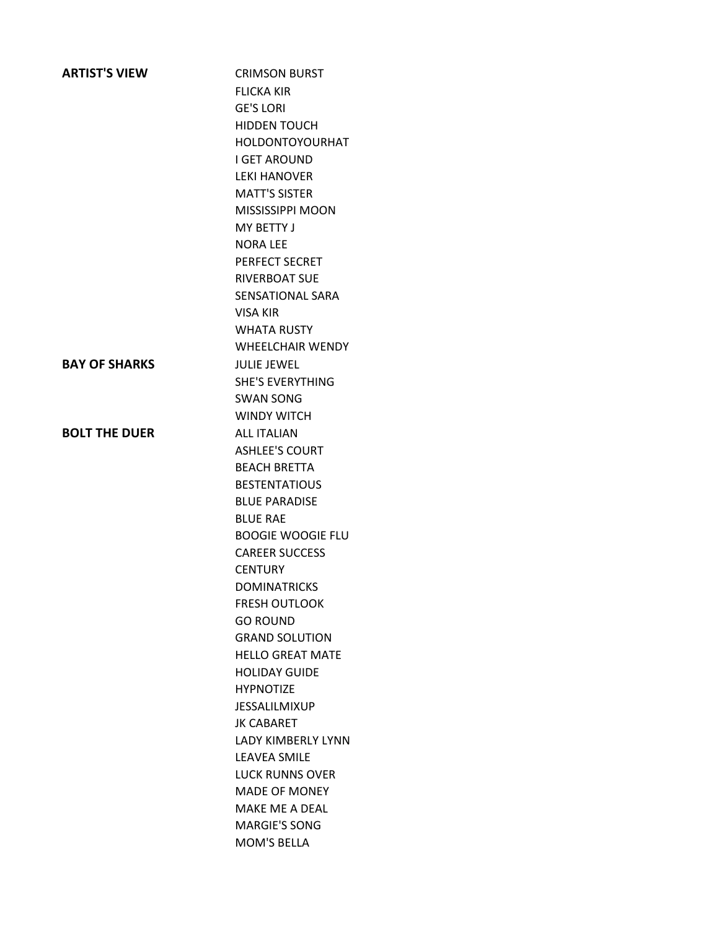| <b>ARTIST'S VIEW</b> | <b>CRIMSON BURST</b>     |
|----------------------|--------------------------|
|                      | <b>FLICKA KIR</b>        |
|                      | <b>GE'S LORI</b>         |
|                      | <b>HIDDEN TOUCH</b>      |
|                      | <b>HOLDONTOYOURHAT</b>   |
|                      | <b>I GET AROUND</b>      |
|                      | <b>LEKI HANOVER</b>      |
|                      | <b>MATT'S SISTER</b>     |
|                      | <b>MISSISSIPPI MOON</b>  |
|                      | MY BETTY J               |
|                      | <b>NORA LEE</b>          |
|                      | PERFECT SECRET           |
|                      | <b>RIVERBOAT SUE</b>     |
|                      | SENSATIONAL SARA         |
|                      | <b>VISA KIR</b>          |
|                      | <b>WHATA RUSTY</b>       |
|                      | <b>WHEELCHAIR WENDY</b>  |
| <b>BAY OF SHARKS</b> | JULIF JFWFL              |
|                      | <b>SHE'S EVERYTHING</b>  |
|                      | <b>SWAN SONG</b>         |
|                      | <b>WINDY WITCH</b>       |
| <b>BOLT THE DUER</b> | <b>ALL ITALIAN</b>       |
|                      | <b>ASHLEE'S COURT</b>    |
|                      | <b>BEACH BRETTA</b>      |
|                      | <b>BESTENTATIOUS</b>     |
|                      | <b>BLUE PARADISE</b>     |
|                      | <b>BLUF RAF</b>          |
|                      | <b>BOOGIE WOOGIE FLU</b> |
|                      | <b>CAREER SUCCESS</b>    |
|                      | <b>CENTURY</b>           |
|                      | <b>DOMINATRICKS</b>      |
|                      | <b>FRESH OUTLOOK</b>     |
|                      | <b>GO ROUND</b>          |
|                      | <b>GRAND SOLUTION</b>    |
|                      | <b>HELLO GREAT MATE</b>  |
|                      | <b>HOLIDAY GUIDE</b>     |
|                      | <b>HYPNOTIZE</b>         |
|                      | <b>JESSALILMIXUP</b>     |
|                      | <b>JK CABARET</b>        |
|                      | LADY KIMBERLY LYNN       |
|                      | <b>LEAVEA SMILE</b>      |
|                      | <b>LUCK RUNNS OVER</b>   |
|                      | <b>MADE OF MONEY</b>     |
|                      | MAKE ME A DEAL           |
|                      | <b>MARGIE'S SONG</b>     |
|                      | <b>MOM'S BELLA</b>       |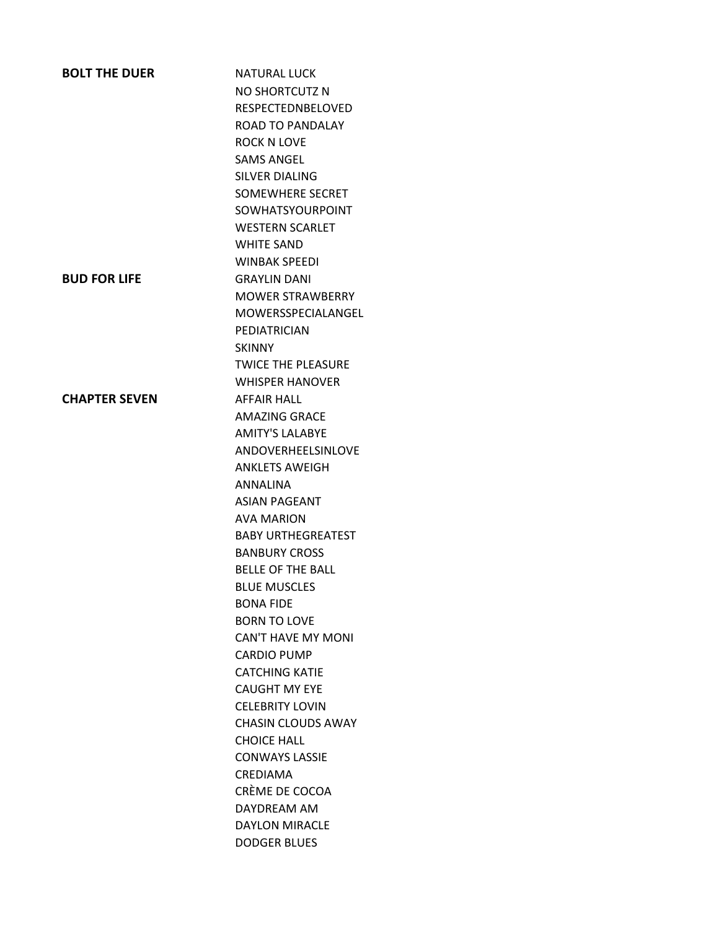| <b>BOLT THE DUER</b> | <b>NATURAL LUCK</b>       |
|----------------------|---------------------------|
|                      | NO SHORTCUTZ N            |
|                      | <b>RESPECTEDNBELOVED</b>  |
|                      | ROAD TO PANDALAY          |
|                      | <b>ROCK N LOVE</b>        |
|                      | <b>SAMS ANGEL</b>         |
|                      | <b>SILVER DIALING</b>     |
|                      | <b>SOMEWHERE SECRET</b>   |
|                      | <b>SOWHATSYOURPOINT</b>   |
|                      | <b>WESTERN SCARLET</b>    |
|                      | <b>WHITE SAND</b>         |
|                      | <b>WINBAK SPEEDI</b>      |
| <b>BUD FOR LIFE</b>  | <b>GRAYLIN DANI</b>       |
|                      | <b>MOWER STRAWBERRY</b>   |
|                      | MOWERSSPECIALANGEL        |
|                      | PEDIATRICIAN              |
|                      | <b>SKINNY</b>             |
|                      | <b>TWICE THE PLEASURE</b> |
|                      | <b>WHISPER HANOVER</b>    |
| <b>CHAPTER SEVEN</b> | <b>AFFAIR HALL</b>        |
|                      | <b>AMAZING GRACE</b>      |
|                      | <b>AMITY'S LALABYE</b>    |
|                      | ANDOVERHEELSINLOVE        |
|                      | <b>ANKLETS AWEIGH</b>     |
|                      | <b>ANNALINA</b>           |
|                      | <b>ASIAN PAGEANT</b>      |
|                      | <b>AVA MARION</b>         |
|                      | <b>BABY URTHEGREATEST</b> |
|                      | <b>BANBURY CROSS</b>      |
|                      | <b>BELLE OF THE BALL</b>  |
|                      | <b>BLUE MUSCLES</b>       |
|                      | <b>BONA FIDE</b>          |
|                      | <b>BORN TO LOVE</b>       |
|                      | <b>CAN'T HAVE MY MONI</b> |
|                      | <b>CARDIO PUMP</b>        |
|                      | <b>CATCHING KATIE</b>     |
|                      | <b>CAUGHT MY EYE</b>      |
|                      | <b>CELEBRITY LOVIN</b>    |
|                      | <b>CHASIN CLOUDS AWAY</b> |
|                      | <b>CHOICE HALL</b>        |
|                      | <b>CONWAYS LASSIE</b>     |
|                      | CREDIAMA                  |
|                      | CRÈME DE COCOA            |
|                      | DAYDREAM AM               |
|                      | <b>DAYLON MIRACLE</b>     |
|                      | <b>DODGER BLUES</b>       |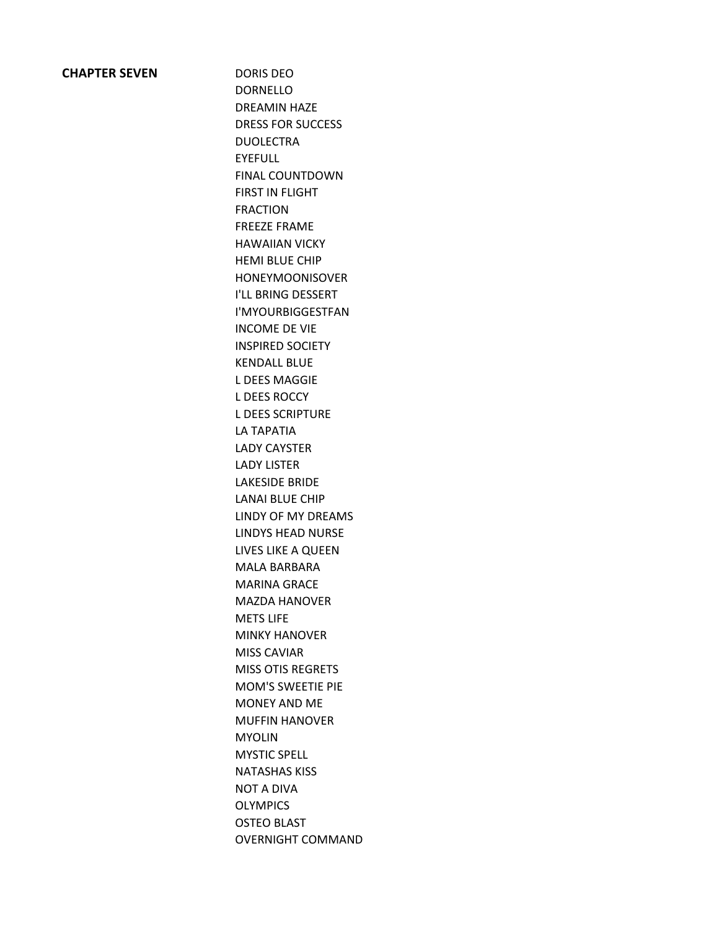### **CHAPTER SEVEN** DORIS DEO

DORNELLO DREAMIN HAZE DRESS FOR SUCCESS DUOLECTRA EYEFULL FINAL COUNTDOWN FIRST IN FLIGHT FRACTION FREEZE FRAME HAWAIIAN VICKY HEMI BLUE CHIP HONEYMOONISOVER I'LL BRING DESSERT I'MYOURBIGGESTFAN INCOME DE VIE INSPIRED SOCIETY KENDALL BLUE L DEES MAGGIE L DEES ROCCY L DEES SCRIPTURE LA TAPATIA LADY CAYSTER LADY LISTER LAKESIDE BRIDE LANAI BLUE CHIP LINDY OF MY DREAMS LINDYS HEAD NURSE LIVES LIKE A QUEEN MALA BARBARA MARINA GRACE MAZDA HANOVER METS LIFE MINKY HANOVER MISS CAVIAR MISS OTIS REGRETS MOM'S SWEETIE PIE MONEY AND ME MUFFIN HANOVER MYOLIN MYSTIC SPELL NATASHAS KISS NOT A DIVA **OLYMPICS** OSTEO BLAST OVERNIGHT COMMAND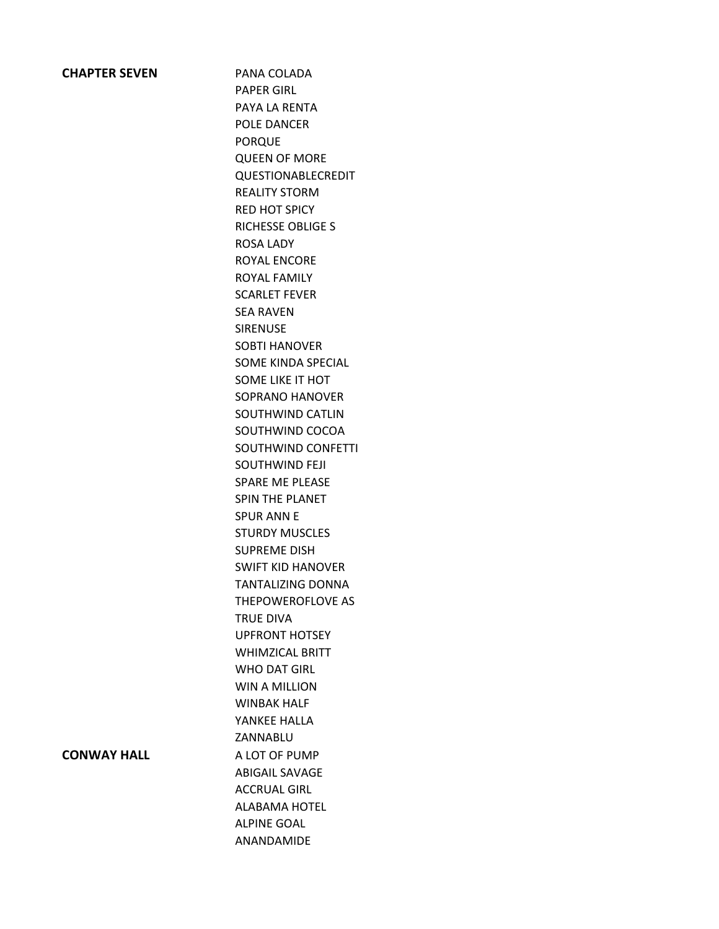### **CHAPTER SEVEN** PANA COLADA

PAPER GIRL PAYA LA RENTA POLE DANCER PORQUE QUEEN OF MORE QUESTIONABLECREDIT REALITY STORM RED HOT SPICY RICHESSE OBLIGE S ROSA LADY ROYAL ENCORE ROYAL FAMILY SCARLET FEVER SEA RAVEN SIRENUSE SOBTI HANOVER SOME KINDA SPECIAL SOME LIKE IT HOT SOPRANO HANOVER SOUTHWIND CATLIN SOUTHWIND COCOA SOUTHWIND CONFETTI SOUTHWIND FEJI SPARE ME PLEASE SPIN THE PLANET SPUR ANN E STURDY MUSCLES SUPREME DISH SWIFT KID HANOVER TANTALIZING DONNA THEPOWEROFLOVE AS TRUE DIVA UPFRONT HOTSEY WHIMZICAL BRITT WHO DAT GIRL WIN A MILLION WINBAK HALF YANKEE HALLA ZANNABLU **CONWAY HALL** A LOT OF PUMP ABIGAIL SAVAGE ACCRUAL GIRL ALABAMA HOTEL ALPINE GOAL ANANDAMIDE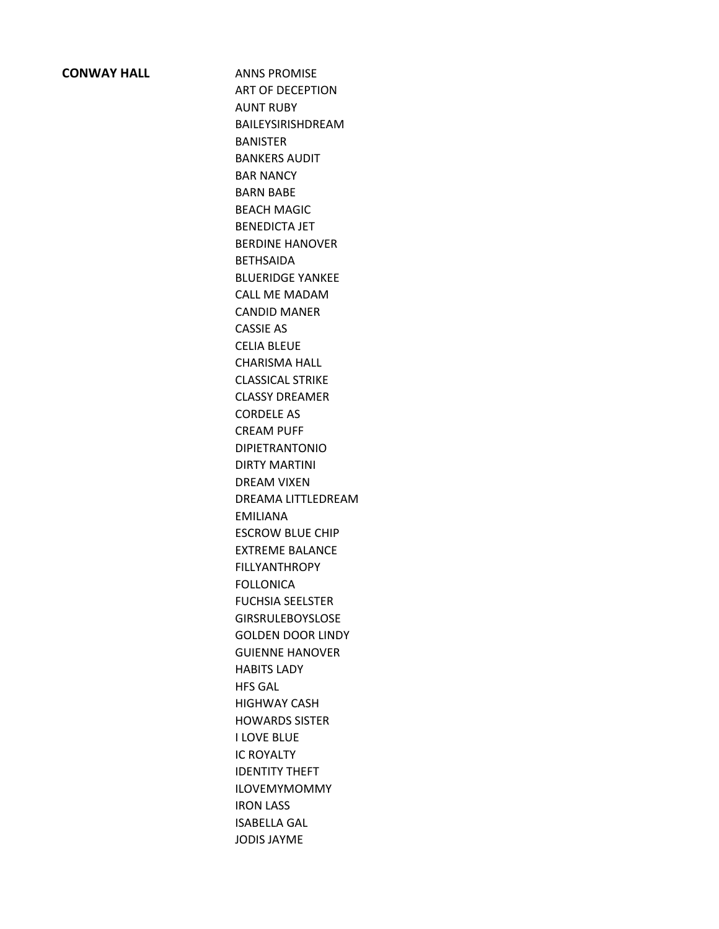### **CONWAY HALL** ANNS PROMISE

ART OF DECEPTION AUNT RUBY BAILEYSIRISHDREAM BANISTER BANKERS AUDIT BAR NANCY BARN BABE BEACH MAGIC BENEDICTA JET BERDINE HANOVER BETHSAIDA BLUERIDGE YANKEE CALL ME MADAM CANDID MANER CASSIE AS CELIA BLEUE CHARISMA HALL CLASSICAL STRIKE CLASSY DREAMER CORDELE AS CREAM PUFF DIPIETRANTONIO DIRTY MARTINI DREAM VIXEN DREAMA LITTLEDREAM EMILIANA ESCROW BLUE CHIP EXTREME BALANCE FILLYANTHROPY FOLLONICA FUCHSIA SEELSTER GIRSRULEBOYSLOSE GOLDEN DOOR LINDY GUIENNE HANOVER HABITS LADY HFS GAL HIGHWAY CASH HOWARDS SISTER I LOVE BLUE IC ROYALTY IDENTITY THEFT ILOVEMYMOMMY IRON LASS ISABELLA GAL JODIS JAYME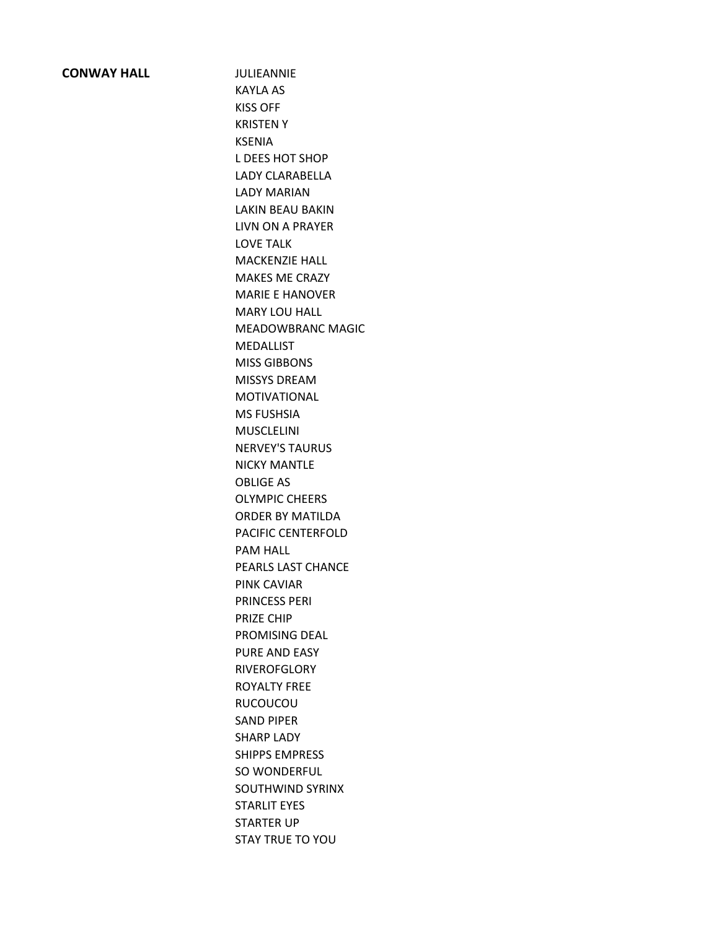### **CONWAY HALL JULIEANNIE**

KAYLA AS KISS OFF KRISTEN Y KSENIA L DEES HOT SHOP LADY CLARABELLA LADY MARIAN LAKIN BEAU BAKIN LIVN ON A PRAYER LOVE TALK MACKENZIE HALL MAKES ME CRAZY MARIE E HANOVER MARY LOU HALL MEADOWBRANC MAGIC MEDALLIST MISS GIBBONS MISSYS DREAM MOTIVATIONAL MS FUSHSIA MUSCLELINI NERVEY'S TAURUS NICKY MANTLE OBLIGE AS OLYMPIC CHEERS ORDER BY MATILDA PACIFIC CENTERFOLD PAM HALL PEARLS LAST CHANCE PINK CAVIAR PRINCESS PERI PRIZE CHIP PROMISING DEAL PURE AND EASY **RIVEROFGLORY** ROYALTY FREE RUCOUCOU SAND PIPER SHARP LADY SHIPPS EMPRESS SO WONDERFUL SOUTHWIND SYRINX STARLIT EYES STARTER UP STAY TRUE TO YOU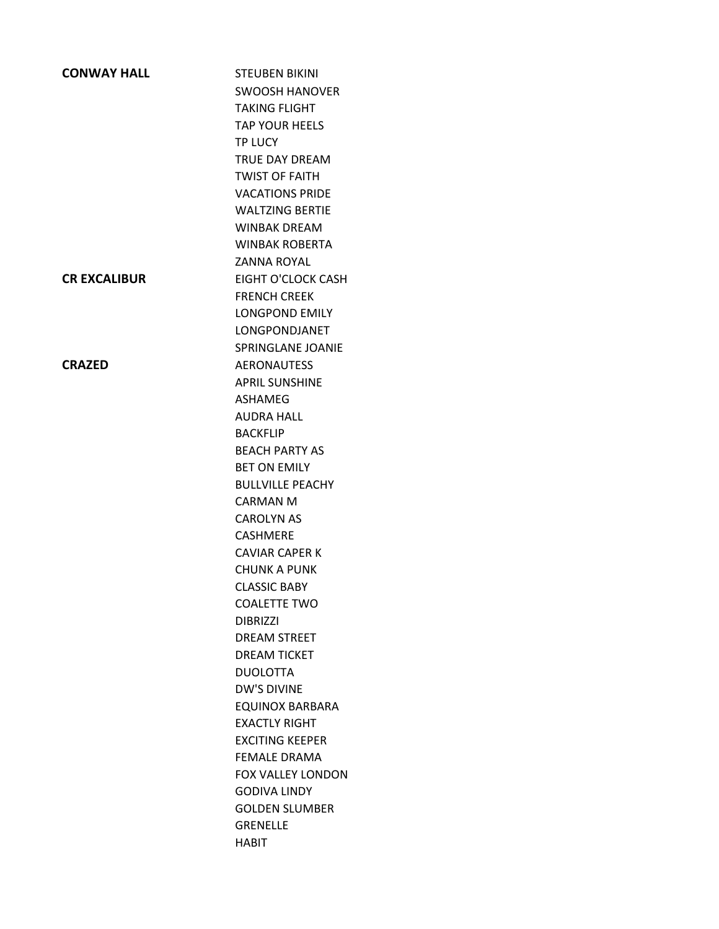| <b>CONWAY HALL</b>  | <b>STEUBEN BIKINI</b>     |
|---------------------|---------------------------|
|                     | <b>SWOOSH HANOVER</b>     |
|                     | <b>TAKING FLIGHT</b>      |
|                     | <b>TAP YOUR HEELS</b>     |
|                     | <b>TP LUCY</b>            |
|                     | <b>TRUE DAY DREAM</b>     |
|                     | <b>TWIST OF FAITH</b>     |
|                     | <b>VACATIONS PRIDE</b>    |
|                     | <b>WALTZING BERTIE</b>    |
|                     | <b>WINBAK DREAM</b>       |
|                     | <b>WINBAK ROBERTA</b>     |
|                     | <b>ZANNA ROYAL</b>        |
| <b>CR EXCALIBUR</b> | <b>EIGHT O'CLOCK CASH</b> |
|                     | <b>FRENCH CREEK</b>       |
|                     | <b>LONGPOND EMILY</b>     |
|                     | LONGPONDJANET             |
|                     | SPRINGLANE JOANIE         |
| <b>CRAZED</b>       | <b>AERONAUTESS</b>        |
|                     | <b>APRIL SUNSHINE</b>     |
|                     | <b>ASHAMEG</b>            |
|                     | <b>AUDRA HALL</b>         |
|                     | <b>BACKFLIP</b>           |
|                     | <b>BEACH PARTY AS</b>     |
|                     | <b>BET ON EMILY</b>       |
|                     | <b>BULLVILLE PEACHY</b>   |
|                     | <b>CARMAN M</b>           |
|                     | <b>CAROLYN AS</b>         |
|                     | <b>CASHMERE</b>           |
|                     | <b>CAVIAR CAPER K</b>     |
|                     | <b>CHUNK A PUNK</b>       |
|                     | <b>CLASSIC BABY</b>       |
|                     | <b>COALETTE TWO</b>       |
|                     | <b>DIBRIZZI</b>           |
|                     | <b>DREAM STREET</b>       |
|                     | <b>DREAM TICKET</b>       |
|                     | <b>DUOLOTTA</b>           |
|                     | <b>DW'S DIVINE</b>        |
|                     | <b>EQUINOX BARBARA</b>    |
|                     | <b>EXACTLY RIGHT</b>      |
|                     | <b>EXCITING KEEPER</b>    |
|                     | <b>FEMALE DRAMA</b>       |
|                     | <b>FOX VALLEY LONDON</b>  |
|                     | <b>GODIVA LINDY</b>       |
|                     | <b>GOLDEN SLUMBER</b>     |
|                     | <b>GRENELLE</b>           |
|                     | HABIT                     |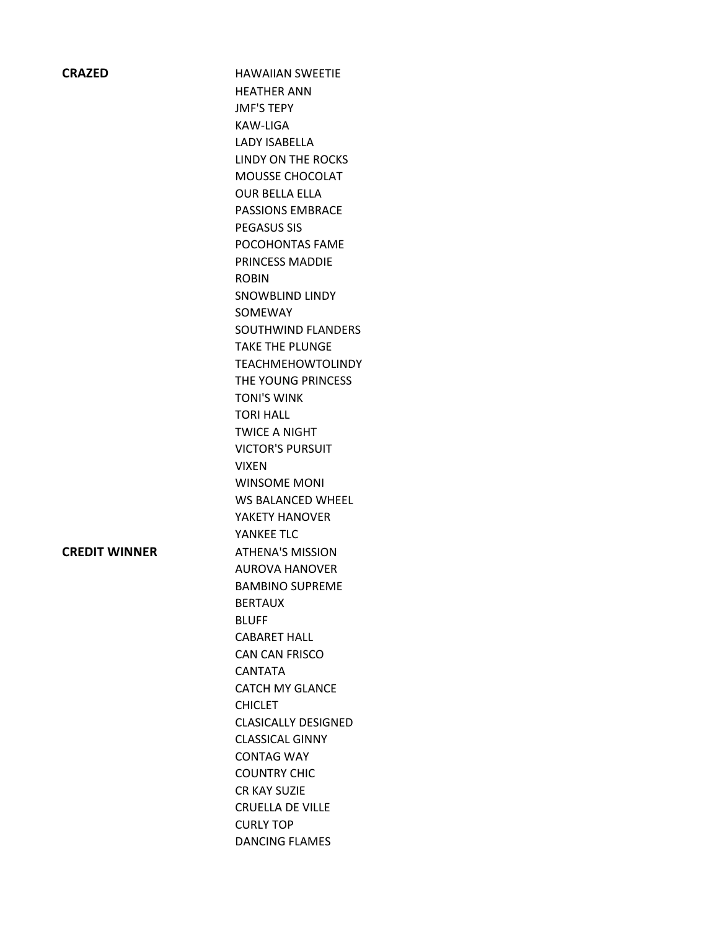| <b>CRAZED</b>        | <b>HAWAIIAN SWEETIE</b>    |
|----------------------|----------------------------|
|                      | <b>HEATHER ANN</b>         |
|                      | <b>JMF'S TEPY</b>          |
|                      | KAW-LIGA                   |
|                      | <b>LADY ISABELLA</b>       |
|                      | LINDY ON THE ROCKS         |
|                      | MOUSSE CHOCOLAT            |
|                      | <b>OUR BELLA ELLA</b>      |
|                      | <b>PASSIONS EMBRACE</b>    |
|                      | <b>PEGASUS SIS</b>         |
|                      | POCOHONTAS FAME            |
|                      | PRINCESS MADDIE            |
|                      | <b>ROBIN</b>               |
|                      | SNOWBLIND LINDY            |
|                      | SOMEWAY                    |
|                      | SOUTHWIND FLANDERS         |
|                      | <b>TAKE THE PLUNGE</b>     |
|                      | <b>TEACHMEHOWTOLINDY</b>   |
|                      | THE YOUNG PRINCESS         |
|                      | <b>TONI'S WINK</b>         |
|                      | <b>TORI HALL</b>           |
|                      | <b>TWICE A NIGHT</b>       |
|                      | <b>VICTOR'S PURSUIT</b>    |
|                      | <b>VIXEN</b>               |
|                      | <b>WINSOME MONI</b>        |
|                      | WS BALANCED WHEEL          |
|                      | YAKETY HANOVER             |
|                      | YANKEE TLC                 |
| <b>CREDIT WINNER</b> | <b>ATHENA'S MISSION</b>    |
|                      | <b>AUROVA HANOVER</b>      |
|                      | <b>BAMBINO SUPREME</b>     |
|                      | <b>BERTAUX</b>             |
|                      | <b>BLUFF</b>               |
|                      | <b>CABARET HALL</b>        |
|                      | CAN CAN FRISCO             |
|                      | <b>CANTATA</b>             |
|                      | <b>CATCH MY GLANCE</b>     |
|                      | <b>CHICLET</b>             |
|                      | <b>CLASICALLY DESIGNED</b> |
|                      | <b>CLASSICAL GINNY</b>     |
|                      | <b>CONTAG WAY</b>          |
|                      | <b>COUNTRY CHIC</b>        |
|                      | CR KAY SUZIE               |
|                      | CRUELLA DE VILLE           |

CURLY TOP

DANCING FLAMES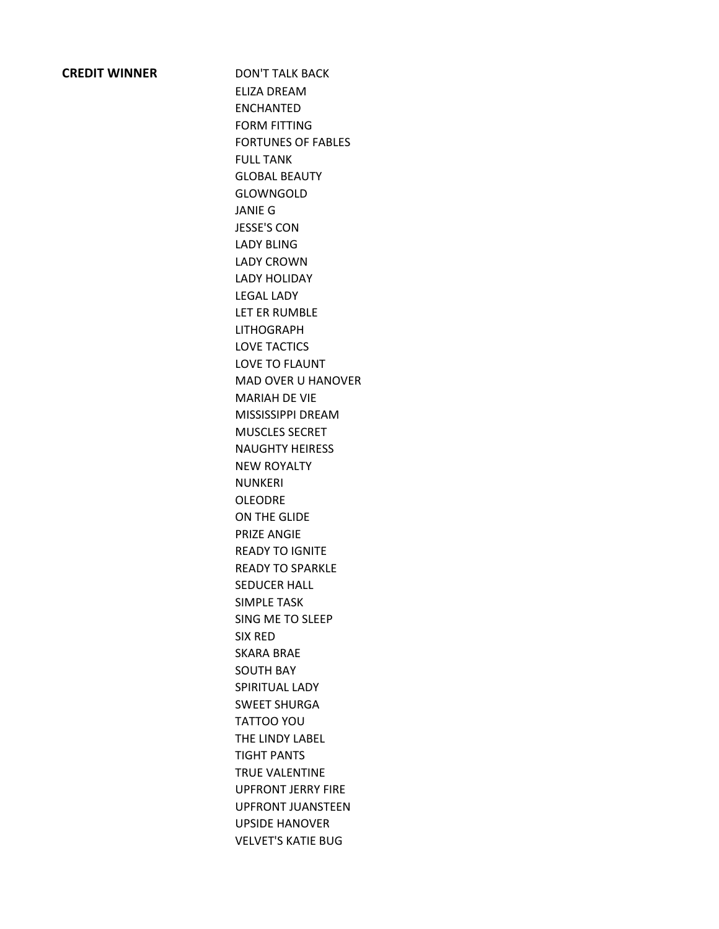### **CREDIT WINNER** DON'T TALK BACK

ELIZA DREAM ENCHANTED FORM FITTING FORTUNES OF FABLES FULL TANK GLOBAL BEAUTY GLOWNGOLD JANIE G JESSE'S CON LADY BLING LADY CROWN LADY HOLIDAY LEGAL LADY LET ER RUMBLE LITHOGRAPH LOVE TACTICS LOVE TO FLAUNT MAD OVER U HANOVER MARIAH DE VIE MISSISSIPPI DREAM MUSCLES SECRET NAUGHTY HEIRESS NEW ROYALTY NUNKERI OLEODRE ON THE GLIDE PRIZE ANGIE READY TO IGNITE READY TO SPARKLE SEDUCER HALL SIMPLE TASK SING ME TO SLEEP SIX RED SKARA BRAE SOUTH BAY SPIRITUAL LADY SWEET SHURGA TATTOO YOU THE LINDY LABEL TIGHT PANTS TRUE VALENTINE UPFRONT JERRY FIRE UPFRONT JUANSTEEN UPSIDE HANOVER VELVET'S KATIE BUG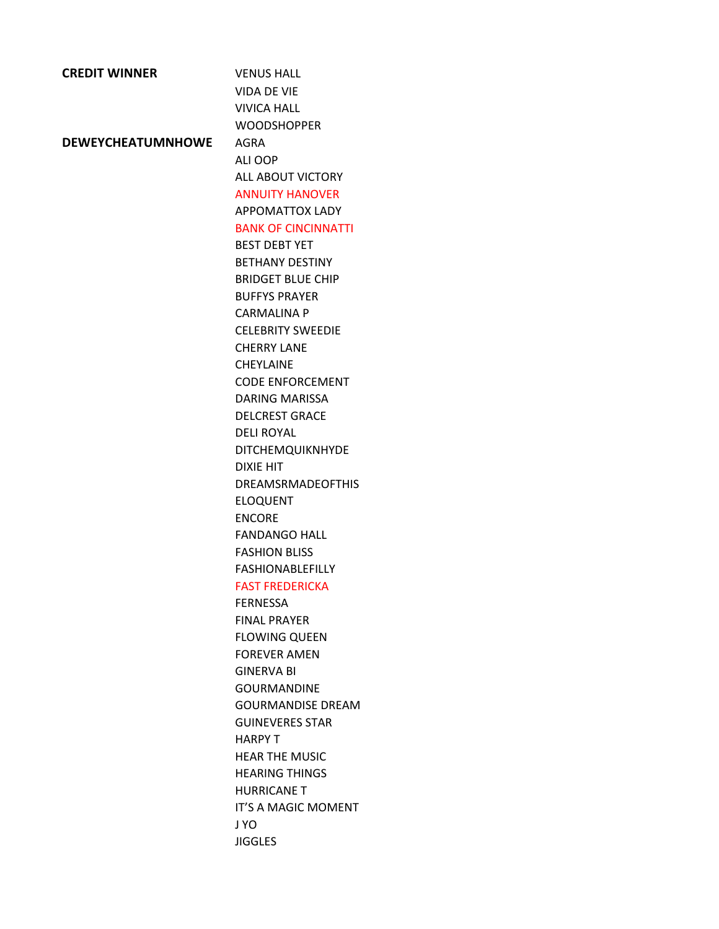| <b>CREDIT WINNER</b>     | <b>VENUS HALL</b>          |
|--------------------------|----------------------------|
|                          | <b>VIDA DE VIE</b>         |
|                          | <b>VIVICA HALL</b>         |
|                          | <b>WOODSHOPPER</b>         |
| <b>DEWEYCHEATUMNHOWE</b> | AGRA                       |
|                          | ALI OOP                    |
|                          | <b>ALL ABOUT VICTORY</b>   |
|                          | <b>ANNUITY HANOVER</b>     |
|                          | <b>APPOMATTOX LADY</b>     |
|                          | <b>BANK OF CINCINNATTI</b> |
|                          | <b>BEST DEBT YET</b>       |
|                          | <b>BETHANY DESTINY</b>     |
|                          | <b>BRIDGET BLUE CHIP</b>   |
|                          | <b>BUFFYS PRAYER</b>       |
|                          | <b>CARMALINA P</b>         |
|                          | <b>CELEBRITY SWEEDIE</b>   |
|                          | <b>CHERRY LANE</b>         |
|                          | <b>CHFYLAINF</b>           |
|                          | <b>CODE ENFORCEMENT</b>    |
|                          | <b>DARING MARISSA</b>      |
|                          | <b>DELCREST GRACE</b>      |
|                          | <b>DELI ROYAL</b>          |
|                          | <b>DITCHEMQUIKNHYDE</b>    |
|                          | DIXIE HIT                  |
|                          | <b>DREAMSRMADEOFTHIS</b>   |
|                          | <b>ELOQUENT</b>            |
|                          | <b>ENCORE</b>              |
|                          | <b>FANDANGO HALL</b>       |
|                          | <b>FASHION BLISS</b>       |
|                          | <b>FASHIONABLEFILLY</b>    |
|                          | <b>FAST FREDERICKA</b>     |
|                          | <b>FERNESSA</b>            |
|                          | <b>FINAL PRAYER</b>        |
|                          | <b>FLOWING QUEEN</b>       |
|                          | <b>FOREVER AMEN</b>        |
|                          | <b>GINFRVA BI</b>          |
|                          | <b>GOURMANDINE</b>         |
|                          | <b>GOURMANDISE DREAM</b>   |
|                          | <b>GUINEVERES STAR</b>     |
|                          | HARPY T                    |
|                          | <b>HEAR THE MUSIC</b>      |
|                          | <b>HEARING THINGS</b>      |
|                          | <b>HURRICANE T</b>         |
|                          | IT'S A MAGIC MOMENT        |
|                          | J YO                       |
|                          | <b>JIGGLES</b>             |
|                          |                            |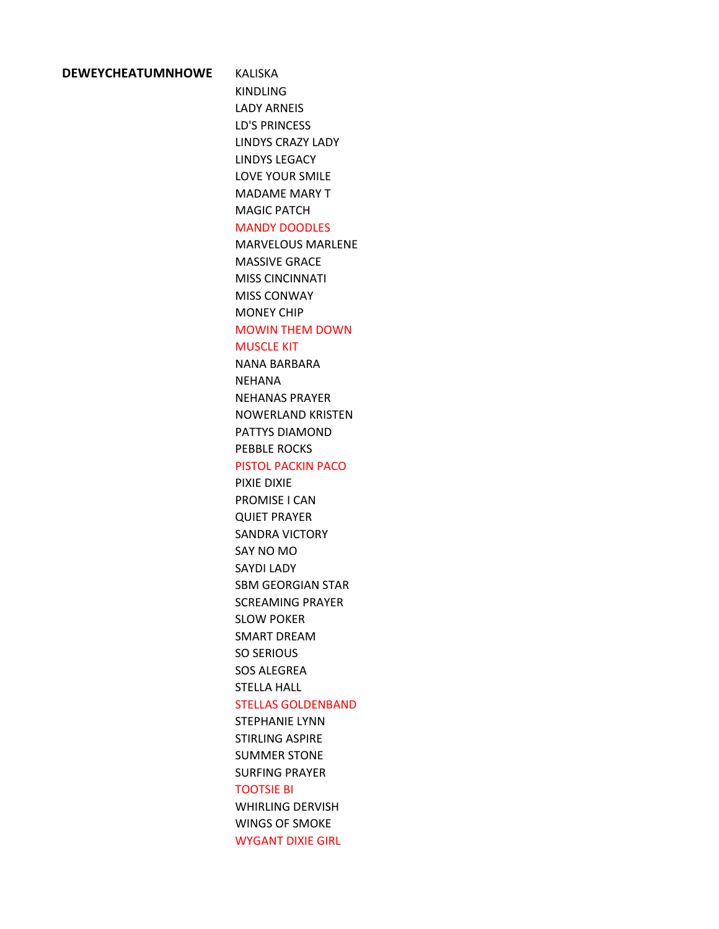#### **DEWEYCHEATUMNHOWE** KALISKA

KINDLING LADY ARNEIS LD'S PRINCESS LINDYS CRAZY LADY LINDYS LEGACY LOVE YOUR SMILE MADAME MARY T MAGIC PATCH

#### MANDY DOODLES

MARVELOUS MARLENE MASSIVE GRACE MISS CINCINNATI MISS CONWAY MONEY CHIP

# MOWIN THEM DOWN

MUSCLE KIT

NANA BARBARA NEHANA NEHANAS PRAYER NOWERLAND KRISTEN PATTYS DIAMOND PEBBLE ROCKS

### PISTOL PACKIN PACO

PIXIE DIXIE PROMISE I CAN QUIET PRAYER SANDRA VICTORY SAY NO MO SAYDI LADY SBM GEORGIAN STAR SCREAMING PRAYER SLOW POKER SMART DREAM SO SERIOUS SOS ALEGREA STELLA HALL

### STELLAS GOLDENBAND

STEPHANIE LYNN STIRLING ASPIRE SUMMER STONE SURFING PRAYER TOOTSIE BI WHIRLING DERVISH WINGS OF SMOKE WYGANT DIXIE GIRL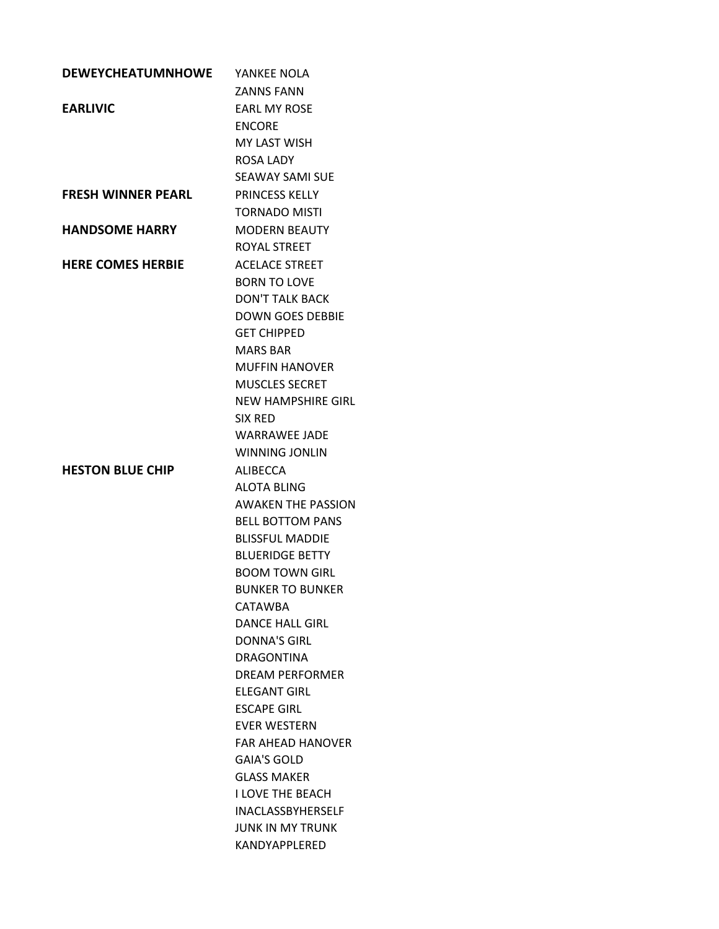| <b>DEWEYCHEATUMNHOWE</b>  | YANKEE NOLA                                 |
|---------------------------|---------------------------------------------|
|                           | <b>ZANNS FANN</b>                           |
| <b>EARLIVIC</b>           | <b>FARL MY ROSF</b>                         |
|                           | <b>ENCORE</b>                               |
|                           | <b>MY LAST WISH</b>                         |
|                           | <b>ROSA LADY</b>                            |
|                           | <b>SEAWAY SAMI SUE</b>                      |
| <b>FRESH WINNER PEARL</b> | <b>PRINCESS KELLY</b>                       |
|                           | <b>TORNADO MISTI</b>                        |
| <b>HANDSOME HARRY</b>     | <b>MODERN BEAUTY</b>                        |
|                           | ROYAL STREET                                |
| <b>HERE COMES HERBIE</b>  | <b>ACELACE STREET</b>                       |
|                           | <b>BORN TO LOVE</b>                         |
|                           | <b>DON'T TALK BACK</b>                      |
|                           | <b>DOWN GOES DEBBIE</b>                     |
|                           | <b>GET CHIPPED</b>                          |
|                           | <b>MARS BAR</b>                             |
|                           | <b>MUFFIN HANOVER</b>                       |
|                           | <b>MUSCLES SECRET</b>                       |
|                           | NFW HAMPSHIRF GIRL                          |
|                           | SIX RED                                     |
|                           | <b>WARRAWEE JADE</b>                        |
|                           | <b>WINNING JONLIN</b>                       |
| <b>HESTON BLUE CHIP</b>   | ALIBECCA                                    |
|                           | <b>ALOTA BLING</b>                          |
|                           | <b>AWAKEN THE PASSION</b>                   |
|                           | <b>BELL BOTTOM PANS</b>                     |
|                           | <b>BLISSFUL MADDIE</b>                      |
|                           | <b>BLUERIDGE BETTY</b>                      |
|                           | <b>BOOM TOWN GIRL</b>                       |
|                           | BUNKER TO BUNKER                            |
|                           | CATAWBA                                     |
|                           | <b>DANCF HALL GIRL</b>                      |
|                           | <b>DONNA'S GIRL</b>                         |
|                           | <b>DRAGONTINA</b><br><b>DREAM PERFORMER</b> |
|                           | <b>FLFGANT GIRL</b>                         |
|                           | <b>ESCAPE GIRL</b>                          |
|                           | <b>FVFR WESTERN</b>                         |
|                           | <b>FAR AHEAD HANOVER</b>                    |
|                           | <b>GAIA'S GOLD</b>                          |
|                           | <b>GLASS MAKER</b>                          |
|                           | <b>I LOVE THE BEACH</b>                     |
|                           | <b>INACLASSBYHERSELF</b>                    |
|                           | <b>JUNK IN MY TRUNK</b>                     |
|                           | KANDYAPPLERED                               |
|                           |                                             |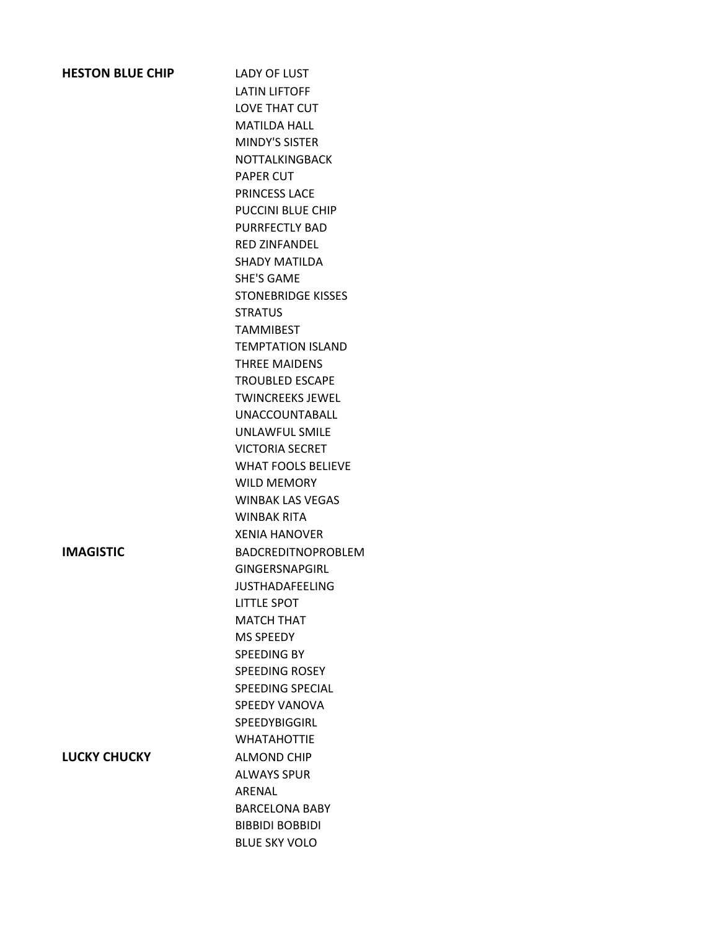| <b>HESTON BLUE CHIP</b> | <b>LADY OF LUST</b>       |
|-------------------------|---------------------------|
|                         | <b>LATIN LIFTOFF</b>      |
|                         | <b>LOVE THAT CUT</b>      |
|                         | <b>MATILDA HALL</b>       |
|                         | <b>MINDY'S SISTER</b>     |
|                         | <b>NOTTALKINGBACK</b>     |
|                         | <b>PAPER CUT</b>          |
|                         | <b>PRINCESS LACE</b>      |
|                         | <b>PUCCINI BLUE CHIP</b>  |
|                         | <b>PURRFECTLY BAD</b>     |
|                         | <b>RED ZINFANDEL</b>      |
|                         | <b>SHADY MATILDA</b>      |
|                         | <b>SHE'S GAME</b>         |
|                         | <b>STONEBRIDGE KISSES</b> |
|                         | <b>STRATUS</b>            |
|                         | <b>TAMMIBEST</b>          |
|                         | <b>TEMPTATION ISLAND</b>  |
|                         | <b>THREE MAIDENS</b>      |
|                         | <b>TROUBLED ESCAPE</b>    |
|                         | <b>TWINCREEKS JEWEL</b>   |
|                         | <b>UNACCOUNTABALL</b>     |
|                         | <b>UNLAWFUL SMILE</b>     |
|                         | <b>VICTORIA SECRET</b>    |
|                         | <b>WHAT FOOLS BELIEVE</b> |
|                         | <b>WILD MEMORY</b>        |
|                         | <b>WINBAK LAS VEGAS</b>   |
|                         | <b>WINBAK RITA</b>        |
|                         | <b>XFNIA HANOVER</b>      |
| <b>IMAGISTIC</b>        | <b>BADCREDITNOPROBLEM</b> |
|                         | <b>GINGERSNAPGIRL</b>     |
|                         | <b>JUSTHADAFEELING</b>    |
|                         | <b>LITTLE SPOT</b>        |
|                         | <b>MATCH THAT</b>         |
|                         | <b>MS SPEEDY</b>          |
|                         | SPEEDING BY               |
|                         | <b>SPEEDING ROSEY</b>     |
|                         | <b>SPEEDING SPECIAL</b>   |
|                         | <b>SPEEDY VANOVA</b>      |
|                         | SPEEDYBIGGIRL             |
|                         | <b>WHATAHOTTIE</b>        |
| <b>LUCKY CHUCKY</b>     | <b>ALMOND CHIP</b>        |
|                         | <b>ALWAYS SPUR</b>        |
|                         | ARENAL                    |
|                         | <b>BARCELONA BABY</b>     |
|                         | <b>BIBBIDI BOBBIDI</b>    |
|                         | <b>BLUE SKY VOLO</b>      |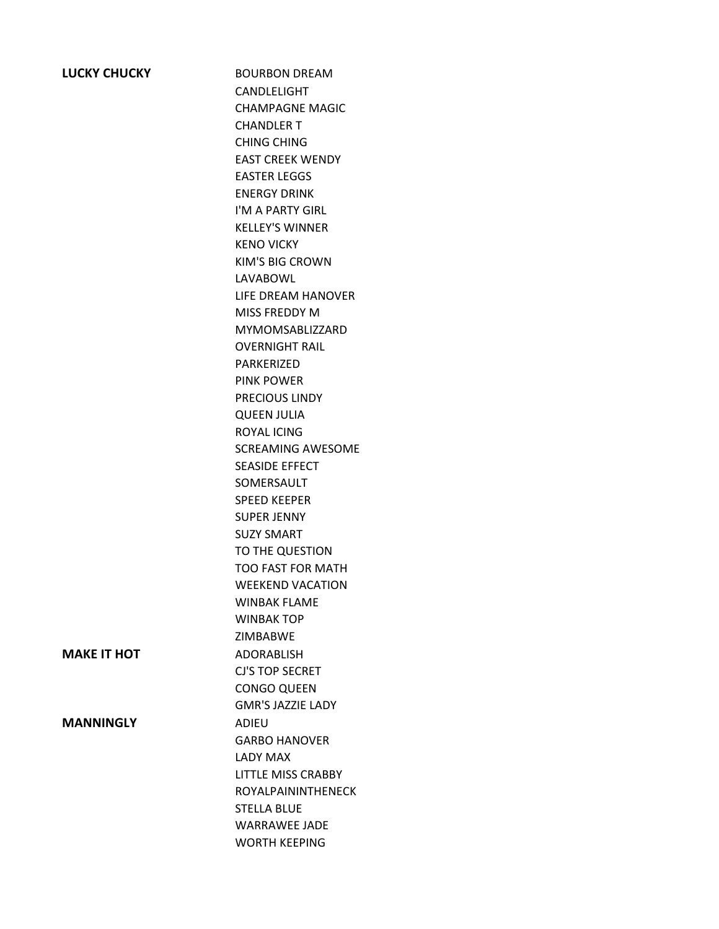| <b>LUCKY CHUCKY</b> |
|---------------------|
|---------------------|

**BOURBON DREAM** CANDLELIGHT CHAMPAGNE MAGIC CHANDLER T CHING CHING EAST CREEK WENDY EASTER LEGGS ENERGY DRINK I'M A PARTY GIRL KELLEY'S WINNER KENO VICKY KIM'S BIG CROWN LAVABOWL LIFE DREAM HANOVER MISS FREDDY M MYMOMSABLIZZARD OVERNIGHT RAIL PARKERIZED PINK POWER PRECIOUS LINDY QUEEN JULIA ROYAL ICING SCREAMING AWESOME SEASIDE EFFECT SOMERSAULT SPEED KEEPER SUPER JENNY SUZY SMART TO THE QUESTION TOO FAST FOR MATH WEEKEND VACATION WINBAK FLAME WINBAK TOP ZIMBABWE CJ'S TOP SECRET CONGO QUEEN GMR'S JAZZIE LADY GARBO HANOVER LADY MAX LITTLE MISS CRABBY ROYALPAININTHENECK STELLA BLUE WARRAWEE JADE WORTH KEEPING

**MAKE IT HOT** ADORABLISH

**MANNINGLY** ADIEU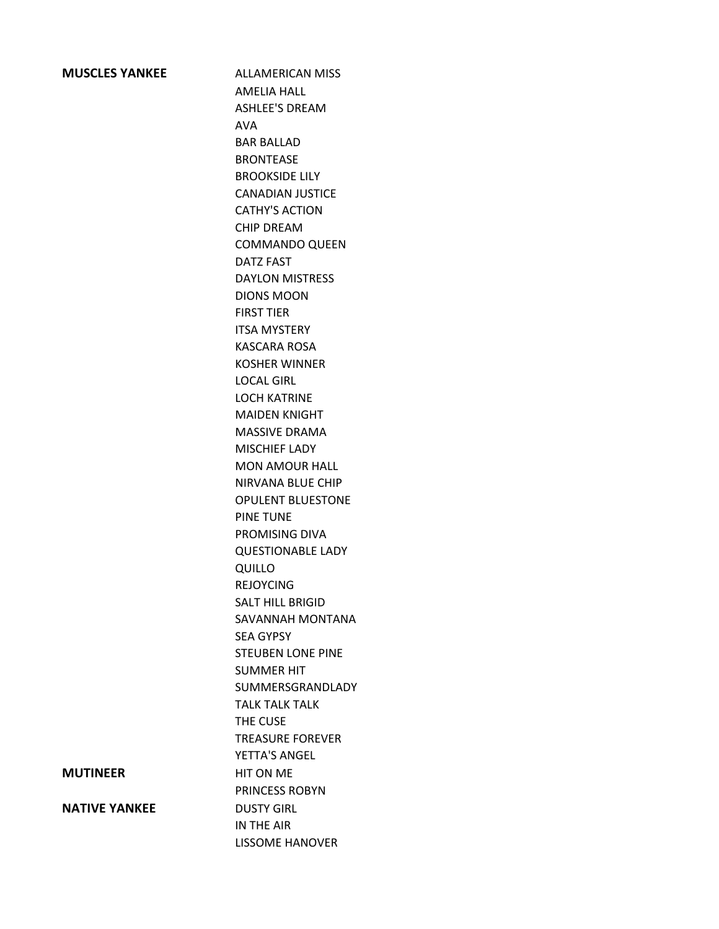**MUSCLES YANKEE** ALLAMERICAN MISS AMELIA HALL ASHLEE'S DREAM AVA BAR BALLAD BRONTEASE BROOKSIDE LILY CANADIAN JUSTICE CATHY'S ACTION CHIP DREAM COMMANDO QUEEN DATZ FAST DAYLON MISTRESS DIONS MOON FIRST TIER ITSA MYSTERY KASCARA ROSA KOSHER WINNER LOCAL GIRL LOCH KATRINE MAIDEN KNIGHT MASSIVE DRAMA MISCHIEF LADY MON AMOUR HALL NIRVANA BLUE CHIP OPULENT BLUESTONE PINE TUNE PROMISING DIVA QUESTIONABLE LADY QUILLO REJOYCING SALT HILL BRIGID SAVANNAH MONTANA SEA GYPSY STEUBEN LONE PINE SUMMER HIT SUMMERSGRANDLADY TALK TALK TALK THE CUSE TREASURE FOREVER YETTA'S ANGEL **MUTINEER** HIT ON ME PRINCESS ROBYN IN THE AIR LISSOME HANOVER

**NATIVE YANKEE** DUSTY GIRL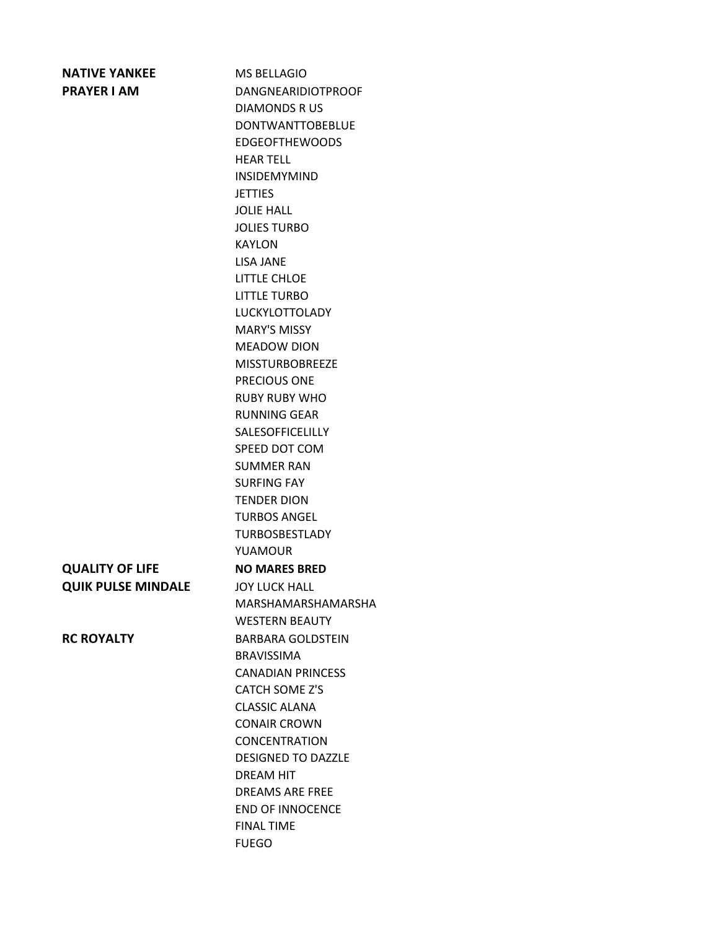| <b>NATIVE YANKEE</b>      | <b>MS BELLAGIO</b>        |
|---------------------------|---------------------------|
| <b>PRAYER I AM</b>        | <b>DANGNEARIDIOTPROOF</b> |
|                           | <b>DIAMONDS RUS</b>       |
|                           | <b>DONTWANTTOBEBLUE</b>   |
|                           | <b>EDGEOFTHEWOODS</b>     |
|                           | <b>HEAR TELL</b>          |
|                           | <b>INSIDEMYMIND</b>       |
|                           | <b>JETTIES</b>            |
|                           | <b>JOLIE HALL</b>         |
|                           | <b>JOLIES TURBO</b>       |
|                           | <b>KAYLON</b>             |
|                           | <b>LISA JANE</b>          |
|                           | <b>LITTLE CHLOE</b>       |
|                           | <b>LITTLE TURBO</b>       |
|                           | <b>LUCKYLOTTOLADY</b>     |
|                           | <b>MARY'S MISSY</b>       |
|                           | <b>MEADOW DION</b>        |
|                           | <b>MISSTURBOBRFFZF</b>    |
|                           | PRECIOUS ONE              |
|                           | <b>RUBY RUBY WHO</b>      |
|                           | <b>RUNNING GEAR</b>       |
|                           | <b>SALESOFFICELILLY</b>   |
|                           | SPEED DOT COM             |
|                           | <b>SUMMER RAN</b>         |
|                           | <b>SURFING FAY</b>        |
|                           | <b>TENDER DION</b>        |
|                           | <b>TURBOS ANGFL</b>       |
|                           | <b>TURBOSBESTLADY</b>     |
|                           | <b>YUAMOUR</b>            |
| <b>QUALITY OF LIFE</b>    | <b>NO MARES BRED</b>      |
| <b>QUIK PULSE MINDALE</b> | <b>JOY LUCK HALL</b>      |
|                           | MARSHAMARSHAMARSHA        |
|                           | <b>WESTERN BEAUTY</b>     |
| <b>RC ROYALTY</b>         | <b>BARBARA GOLDSTEIN</b>  |
|                           | <b>BRAVISSIMA</b>         |
|                           | <b>CANADIAN PRINCESS</b>  |
|                           | <b>CATCH SOME Z'S</b>     |
|                           | <b>CLASSIC ALANA</b>      |
|                           | <b>CONAIR CROWN</b>       |
|                           | <b>CONCENTRATION</b>      |
|                           | <b>DESIGNED TO DAZZLE</b> |
|                           | <b>DREAM HIT</b>          |
|                           | <b>DREAMS ARE FREE</b>    |
|                           | <b>END OF INNOCENCE</b>   |
|                           | <b>FINAL TIME</b>         |
|                           | <b>FUEGO</b>              |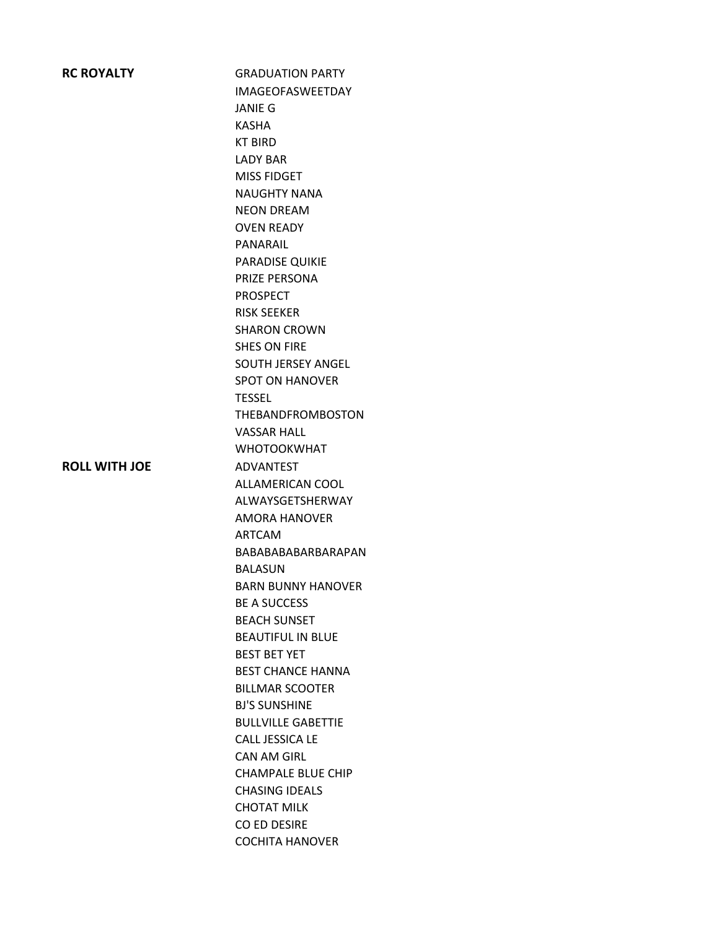| <b>RC ROYALTY</b>    | <b>GRADUATION PARTY</b>   |
|----------------------|---------------------------|
|                      | <b>IMAGEOFASWEETDAY</b>   |
|                      | <b>JANIE G</b>            |
|                      | <b>KASHA</b>              |
|                      | <b>KT BIRD</b>            |
|                      | <b>LADY BAR</b>           |
|                      | <b>MISS FIDGET</b>        |
|                      | <b>NAUGHTY NANA</b>       |
|                      | <b>NEON DREAM</b>         |
|                      | <b>OVEN READY</b>         |
|                      | PANARAIL                  |
|                      | PARADISE QUIKIE           |
|                      | PRIZE PERSONA             |
|                      | <b>PROSPECT</b>           |
|                      | <b>RISK SEEKER</b>        |
|                      | <b>SHARON CROWN</b>       |
|                      | <b>SHES ON FIRE</b>       |
|                      | <b>SOUTH JERSEY ANGEL</b> |
|                      | <b>SPOT ON HANOVER</b>    |
|                      | <b>TESSEL</b>             |
|                      | <b>THEBANDFROMBOSTON</b>  |
|                      | <b>VASSAR HALL</b>        |
|                      | <b>WHOTOOKWHAT</b>        |
| <b>ROLL WITH JOE</b> | <b>ADVANTEST</b>          |
|                      | ALLAMERICAN COOL          |
|                      | ALWAYSGETSHERWAY          |
|                      | <b>AMORA HANOVER</b>      |
|                      | <b>ARTCAM</b>             |
|                      | BABABABABARBARAPAN        |
|                      | <b>BALASUN</b>            |
|                      | <b>BARN BUNNY HANOVER</b> |
|                      | <b>BE A SUCCESS</b>       |
|                      | <b>BEACH SUNSET</b>       |
|                      | <b>BEAUTIFUL IN BLUE</b>  |
|                      | <b>BEST BET YET</b>       |
|                      | <b>BEST CHANCE HANNA</b>  |
|                      | <b>BILLMAR SCOOTER</b>    |
|                      | <b>BJ'S SUNSHINE</b>      |
|                      | <b>BULLVILLE GABETTIE</b> |
|                      | CALL JESSICA LE           |
|                      | CAN AM GIRL               |
|                      | <b>CHAMPALE BLUE CHIP</b> |
|                      | <b>CHASING IDEALS</b>     |
|                      | <b>CHOTAT MILK</b>        |
|                      | CO ED DESIRE              |
|                      | <b>COCHITA HANOVER</b>    |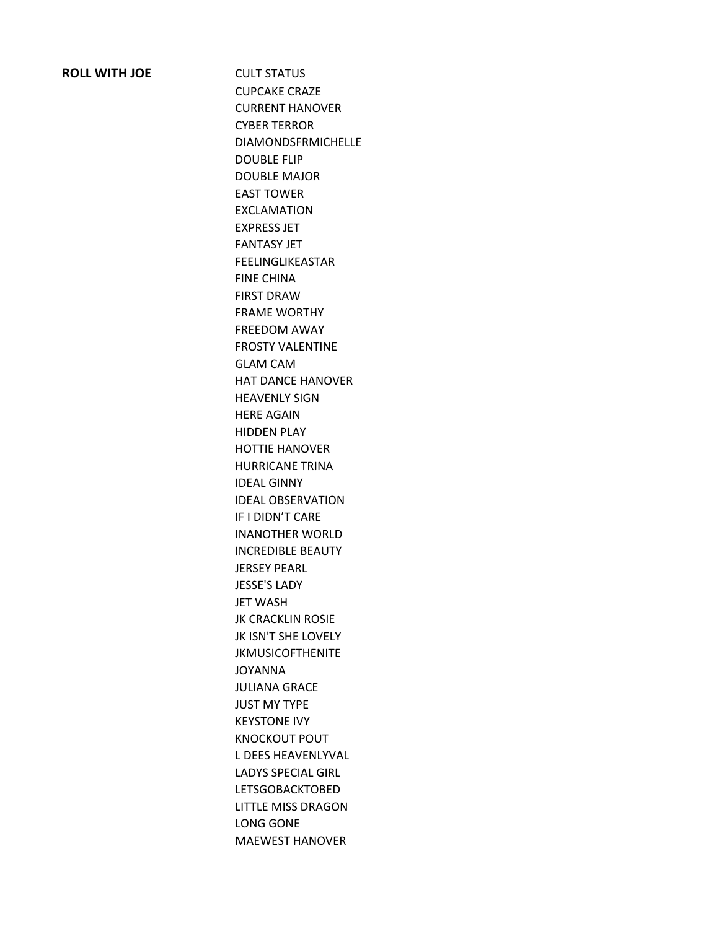### **ROLL WITH JOE** CULT STATUS

CUPCAKE CRAZE CURRENT HANOVER CYBER TERROR DIAMONDSFRMICHELLE DOUBLE FLIP DOUBLE MAJOR EAST TOWER EXCLAMATION EXPRESS JET FANTASY JET FEELINGLIKEASTAR FINE CHINA FIRST DRAW FRAME WORTHY FREEDOM AWAY FROSTY VALENTINE GLAM CAM HAT DANCE HANOVER HEAVENLY SIGN HERE AGAIN HIDDEN PLAY HOTTIE HANOVER HURRICANE TRINA IDEAL GINNY IDEAL OBSERVATION IF I DIDN'T CARE INANOTHER WORLD INCREDIBLE BEAUTY JERSEY PEARL JESSE'S LADY JET WASH JK CRACKLIN ROSIE JK ISN'T SHE LOVELY JKMUSICOFTHENITE JOYANNA JULIANA GRACE JUST MY TYPE KEYSTONE IVY KNOCKOUT POUT L DEES HEAVENLYVAL LADYS SPECIAL GIRL LETSGOBACKTOBED LITTLE MISS DRAGON LONG GONE MAEWEST HANOVER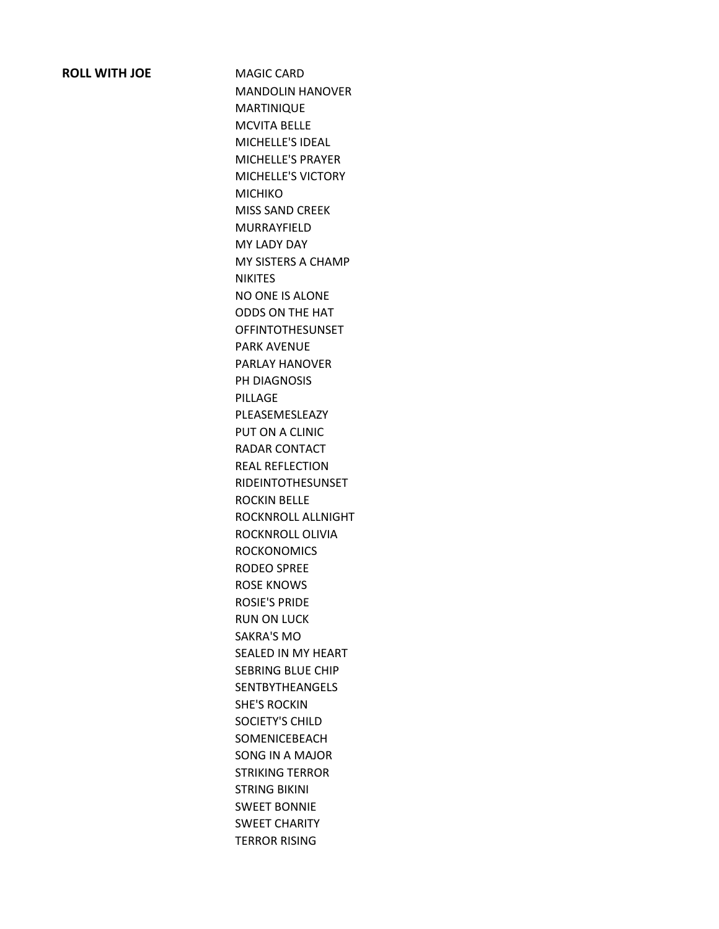### **ROLL WITH JOE** MAGIC CARD

MANDOLIN HANOVER MARTINIQUE MCVITA BELLE MICHELLE'S IDEAL MICHELLE'S PRAYER MICHELLE'S VICTORY MICHIKO MISS SAND CREEK MURRAYFIELD MY LADY DAY MY SISTERS A CHAMP NIKITES NO ONE IS ALONE ODDS ON THE HAT OFFINTOTHESUNSET PARK AVENUE PARLAY HANOVER PH DIAGNOSIS PILLAGE PLEASEMESLEAZY PUT ON A CLINIC RADAR CONTACT REAL REFLECTION RIDEINTOTHESUNSET ROCKIN BELLE ROCKNROLL ALLNIGHT ROCKNROLL OLIVIA **ROCKONOMICS** RODEO SPREE ROSE KNOWS ROSIE'S PRIDE RUN ON LUCK SAKRA'S MO SEALED IN MY HEART SEBRING BLUE CHIP SENTBYTHEANGELS SHE'S ROCKIN SOCIETY'S CHILD SOMENICEBEACH SONG IN A MAJOR STRIKING TERROR STRING BIKINI SWEET BONNIE SWEET CHARITY TERROR RISING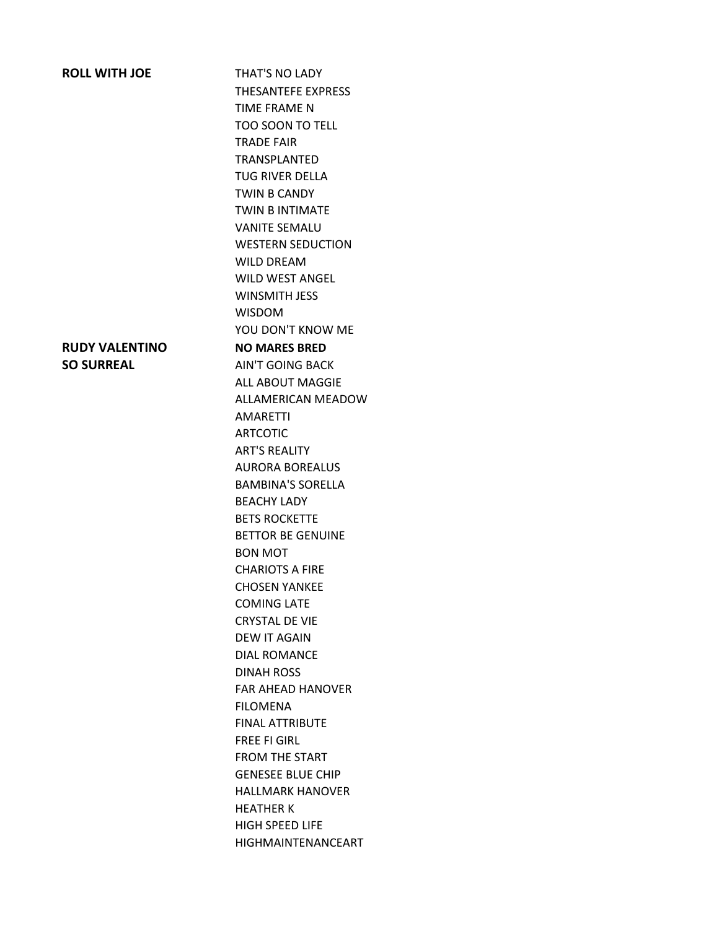# **ROLL WITH JOE THAT'S NO LADY** THESANTEFE EXPRESS TIME FRAME N TOO SOON TO TELL TRADE FAIR TRANSPLANTED TUG RIVER DELLA TWIN B CANDY TWIN B INTIMATE VANITE SEMALU WESTERN SEDUCTION WILD DREAM WILD WEST ANGEL WINSMITH JESS WISDOM YOU DON'T KNOW ME **RUDY VALENTINO NO MARES BRED SO SURREAL** AIN'T GOING BACK ALL ABOUT MAGGIE ALLAMERICAN MEADOW AMARETTI ARTCOTIC ART'S REALITY AURORA BOREALUS BAMBINA'S SORELLA BEACHY LADY BETS ROCKETTE BETTOR BE GENUINE BON MOT CHARIOTS A FIRE CHOSEN YANKEE COMING LATE CRYSTAL DE VIE DEW IT AGAIN DIAL ROMANCE DINAH ROSS FAR AHEAD HANOVER FILOMENA FINAL ATTRIBUTE FREE FI GIRL FROM THE START GENESEE BLUE CHIP HALLMARK HANOVER HEATHER K HIGH SPEED LIFE

HIGHMAINTENANCEART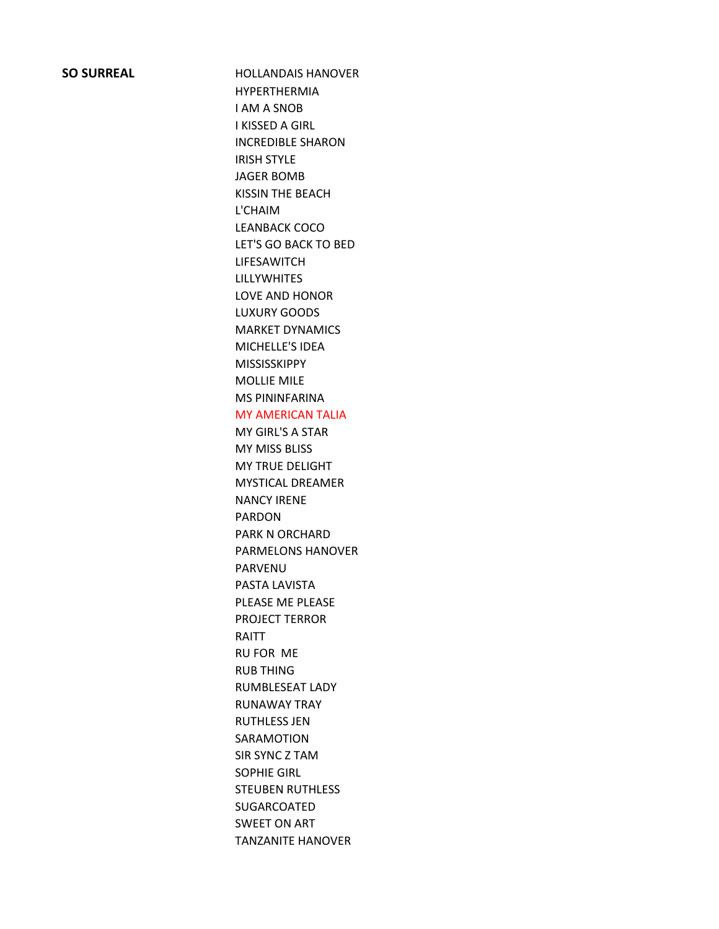#### **SO SURREAL HOLLANDAIS HANOVER**

HYPERTHERMIA I AM A SNOB I KISSED A GIRL INCREDIBLE SHARON IRISH STYLE JAGER BOMB KISSIN THE BEACH L'CHAIM LEANBACK COCO LET'S GO BACK TO BED LIFESAWITCH LILLYWHITES LOVE AND HONOR LUXURY GOODS MARKET DYNAMICS MICHELLE'S IDEA MISSISSKIPPY MOLLIE MILE MS PININFARINA MY AMERICAN TALIA MY GIRL'S A STAR MY MISS BLISS MY TRUE DELIGHT MYSTICAL DREAMER NANCY IRENE PARDON PARK N ORCHARD PARMELONS HANOVER PARVENU PASTA LAVISTA PLEASE ME PLEASE PROJECT TERROR RAITT RU FOR ME RUB THING RUMBLESEAT LADY RUNAWAY TRAY RUTHLESS JEN SARAMOTION SIR SYNC Z TAM SOPHIE GIRL STEUBEN RUTHLESS SUGARCOATED SWEET ON ART TANZANITE HANOVER